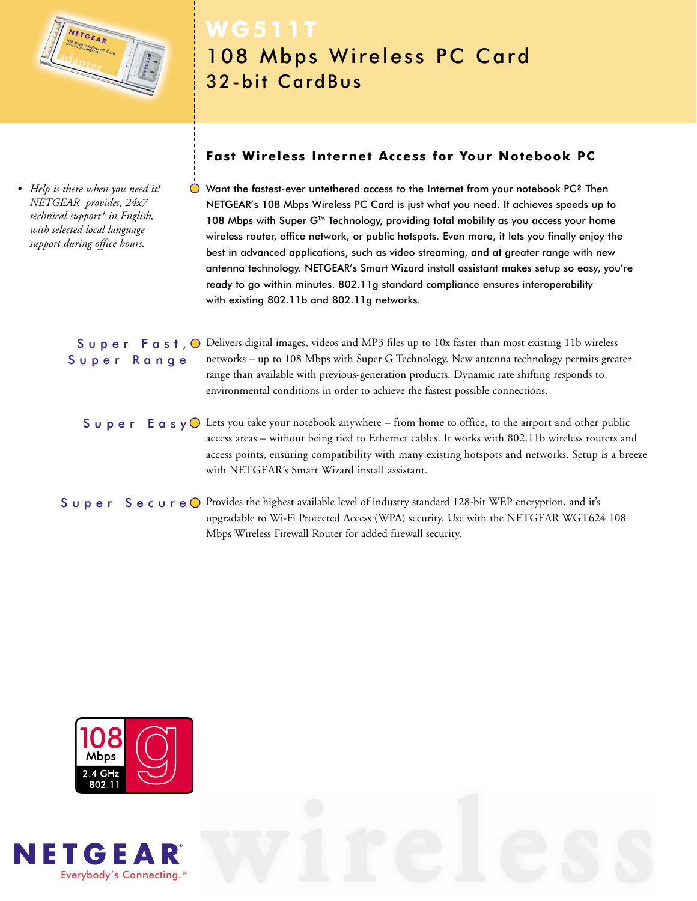

*• Help is there when you need it! NETGEAR provides, 24x7 technical support\* in English, with selected local language support during office hours.*

## **WG511T** 108 Mbps Wireless PC Card 32-bit CardBus

### **Fast Wireless Internet Access for Your Notebook PC**

Want the fastest-ever untethered access to the Internet from your notebook PC? Then NETGEAR's 108 Mbps Wireless PC Card is just what you need. It achieves speeds up to 108 Mbps with Super G™ Technology, providing total mobility as you access your home wireless router, office network, or public hotspots. Even more, it lets you finally enjoy the best in advanced applications, such as video streaming, and at greater range with new antenna technology. NETGEAR's Smart Wizard install assistant makes setup so easy, you're ready to go within minutes. 802.11g standard compliance ensures interoperability with existing 802.11b and 802.11g networks.

S  $\cup$  p e r F a s t,  $\circ$  Delivers digital images, videos and MP3 files up to 10x faster than most existing 11b wireless networks – up to 108 Mbps with Super G Technology. New antenna technology permits greater range than available with previous-generation products. Dynamic rate shifting responds to environmental conditions in order to achieve the fastest possible connections. Super Range

S  $\cup$  p e r E a s  $\vee$  Lets you take your notebook anywhere – from home to office, to the airport and other public access areas – without being tied to Ethernet cables. It works with 802.11b wireless routers and access points, ensuring compatibility with many existing hotspots and networks. Setup is a breeze with NETGEAR's Smart Wizard install assistant.

Super Secure O Provides the highest available level of industry standard 128-bit WEP encryption, and it's upgradable to Wi-Fi Protected Access (WPA) security. Use with the NETGEAR WGT624 108 Mbps Wireless Firewall Router for added firewall security.